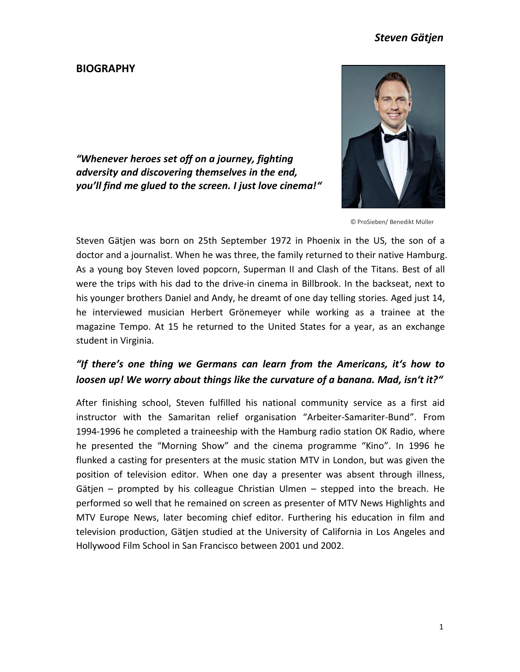### **BIOGRAPHY**



*"Whenever heroes set off on a journey, fighting adversity and discovering themselves in the end, you'll find me glued to the screen. I just love cinema!"*

© ProSieben/ Benedikt Müller

Steven Gätjen was born on 25th September 1972 in Phoenix in the US, the son of a doctor and a journalist. When he was three, the family returned to their native Hamburg. As a young boy Steven loved popcorn, Superman II and Clash of the Titans. Best of all were the trips with his dad to the drive-in cinema in Billbrook. In the backseat, next to his younger brothers Daniel and Andy, he dreamt of one day telling stories. Aged just 14, he interviewed musician Herbert Grönemeyer while working as a trainee at the magazine Tempo. At 15 he returned to the United States for a year, as an exchange student in Virginia.

## *"If there's one thing we Germans can learn from the Americans, it's how to loosen up! We worry about things like the curvature of a banana. Mad, isn't it?"*

After finishing school, Steven fulfilled his national community service as a first aid instructor with the Samaritan relief organisation "Arbeiter-Samariter-Bund". From 1994-1996 he completed a traineeship with the Hamburg radio station OK Radio, where he presented the "Morning Show" and the cinema programme "Kino". In 1996 he flunked a casting for presenters at the music station MTV in London, but was given the position of television editor. When one day a presenter was absent through illness, Gätjen – prompted by his colleague Christian Ulmen – stepped into the breach. He performed so well that he remained on screen as presenter of MTV News Highlights and MTV Europe News, later becoming chief editor. Furthering his education in film and television production, Gätjen studied at the University of California in Los Angeles and Hollywood Film School in San Francisco between 2001 und 2002.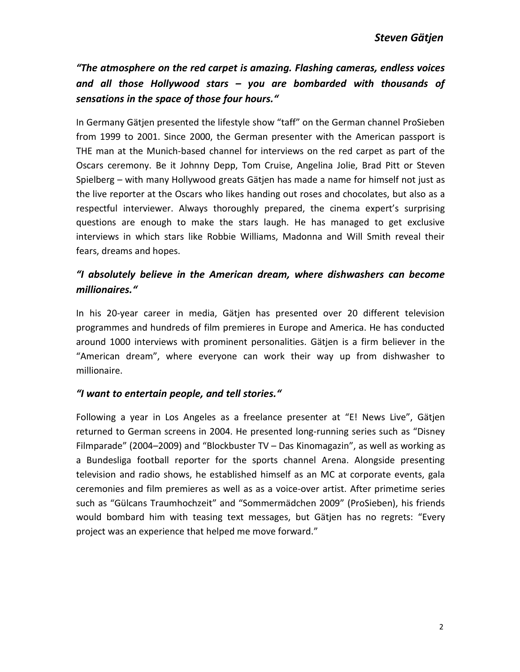*"The atmosphere on the red carpet is amazing. Flashing cameras, endless voices and all those Hollywood stars – you are bombarded with thousands of sensations in the space of those four hours."*

In Germany Gätjen presented the lifestyle show "taff" on the German channel ProSieben from 1999 to 2001. Since 2000, the German presenter with the American passport is THE man at the Munich-based channel for interviews on the red carpet as part of the Oscars ceremony. Be it Johnny Depp, Tom Cruise, Angelina Jolie, Brad Pitt or Steven Spielberg – with many Hollywood greats Gätjen has made a name for himself not just as the live reporter at the Oscars who likes handing out roses and chocolates, but also as a respectful interviewer. Always thoroughly prepared, the cinema expert's surprising questions are enough to make the stars laugh. He has managed to get exclusive interviews in which stars like Robbie Williams, Madonna and Will Smith reveal their fears, dreams and hopes.

## *"I absolutely believe in the American dream, where dishwashers can become millionaires."*

In his 20-year career in media, Gätjen has presented over 20 different television programmes and hundreds of film premieres in Europe and America. He has conducted around 1000 interviews with prominent personalities. Gätjen is a firm believer in the "American dream", where everyone can work their way up from dishwasher to millionaire.

### *"I want to entertain people, and tell stories."*

Following a year in Los Angeles as a freelance presenter at "E! News Live", Gätjen returned to German screens in 2004. He presented long-running series such as "Disney Filmparade" (2004–2009) and "Blockbuster TV – Das Kinomagazin", as well as working as a Bundesliga football reporter for the sports channel Arena. Alongside presenting television and radio shows, he established himself as an MC at corporate events, gala ceremonies and film premieres as well as as a voice-over artist. After primetime series such as "Gülcans Traumhochzeit" and "Sommermädchen 2009" (ProSieben), his friends would bombard him with teasing text messages, but Gätjen has no regrets: "Every project was an experience that helped me move forward."